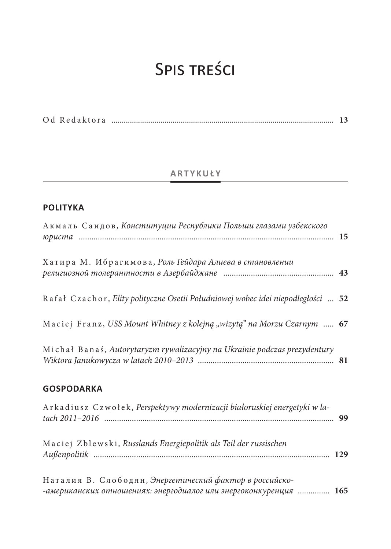# Spis treści

|--|--|--|--|--|

## **ARTYKUŁY**

## **POLITYKA**

| Акмаль Саидов, Конституции Республики Польши глазами узбекского                  |  |
|----------------------------------------------------------------------------------|--|
| Хатира М. Ибрагимова, Роль Гейдара Алиева в становлении                          |  |
| Rafał Czachor, Elity polityczne Osetii Południowej wobec idei niepodległości  52 |  |
| Maciej Franz, USS Mount Whitney z kolejną "wizytą" na Morzu Czarnym  67          |  |
| Michał Banaś, Autorytaryzm rywalizacyjny na Ukrainie podczas prezydentury        |  |
| <b>GOSPODARKA</b>                                                                |  |
| Arkadiusz Czwołek, Perspektywy modernizacji białoruskiej energetyki w la-        |  |
| Maciej Zblewski, Russlands Energiepolitik als Teil der russischen                |  |
| Наталия В. Слободян, Энергетический фактор в российско-                          |  |

*-американских отношениях: энергодиалог или энергоконкуренция ...............* **165**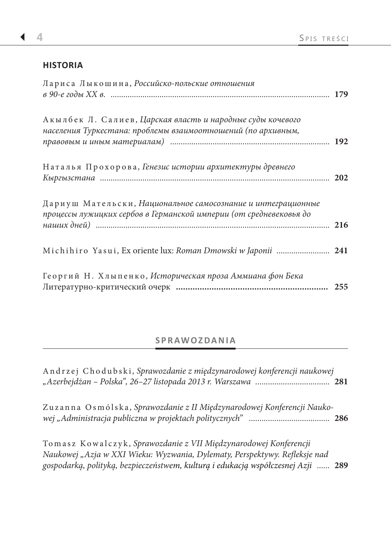#### **HISTORIA**

| Лариса Лыкошина, Российско-польские отношения                                                                                      |  |
|------------------------------------------------------------------------------------------------------------------------------------|--|
| Акылбек Л. Салиев, Царская власть и народные суды кочевого<br>населения Туркестана: проблемы взаимоотношений (по архивным,         |  |
| Наталья Прохорова, Генезис истории архитектуры древнего                                                                            |  |
| Дариуш Мательски, Национальное самосознание и интеграционные<br>процессы лужицких сербов в Германской империи (от средневековья до |  |
| Michihiro Yasui, Ex oriente lux: Roman Dmowski w Japonii  241                                                                      |  |
| Георгий Н. Хлыпенко, Историческая проза Аммиана фон Бека                                                                           |  |

# **SPRAWOZDANIA**

| Andrzej Chodubski, Sprawozdanie z międzynarodowej konferencji naukowej                                                                                                                                                             |  |
|------------------------------------------------------------------------------------------------------------------------------------------------------------------------------------------------------------------------------------|--|
| Zuzanna Osmólska, Sprawozdanie z II Międzynarodowej Konferencji Nauko-                                                                                                                                                             |  |
| Tomasz Kowalczyk, Sprawozdanie z VII Międzynarodowej Konferencji<br>Naukowej "Azja w XXI Wieku: Wyzwania, Dylematy, Perspektywy. Refleksje nad<br>gospodarką, polityką, bezpieczeństwem, kulturą i edukacją współczesnej Azji  289 |  |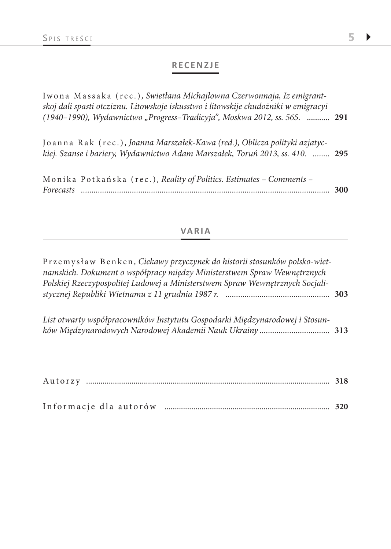#### **RECENZJE**

Iwona Massaka (rec.)*, Swietłana Michajłowna Czerwonnaja, Iz emigrantskoj dali spasti otcziznu. Litowskoje iskusstwo i litowskije chudożniki w emigracyi (1940–1990), Wydawnictwo "Progress–Tradicyja", Moskwa 2012, ss. 565.* ........... **291**

| Joanna Rak (rec.), Joanna Marszałek-Kawa (red.), Oblicza polityki azjatyc-    |  |
|-------------------------------------------------------------------------------|--|
| kiej. Szanse i bariery, Wydawnictwo Adam Marszałek, Toruń 2013, ss. 410.  295 |  |
|                                                                               |  |

| Monika Potkańska (rec.), Reality of Politics. Estimates - Comments - |  |
|----------------------------------------------------------------------|--|
|                                                                      |  |

#### **VARIA**

| Przemysław Benken, Ciekawy przyczynek do historii stosunków polsko-wiet-<br>namskich. Dokument o współpracy między Ministerstwem Spraw Wewnętrznych<br>Polskiej Rzeczypospolitej Ludowej a Ministerstwem Spraw Wewnętrznych Socjali- |  |
|--------------------------------------------------------------------------------------------------------------------------------------------------------------------------------------------------------------------------------------|--|
|                                                                                                                                                                                                                                      |  |
| List otwarty współpracowników Instytutu Gospodarki Międzynarodowej i Stosun-                                                                                                                                                         |  |
|                                                                                                                                                                                                                                      |  |

| Autorz |  |
|--------|--|
|        |  |

| Informacie dla autorów |  |  |
|------------------------|--|--|
|------------------------|--|--|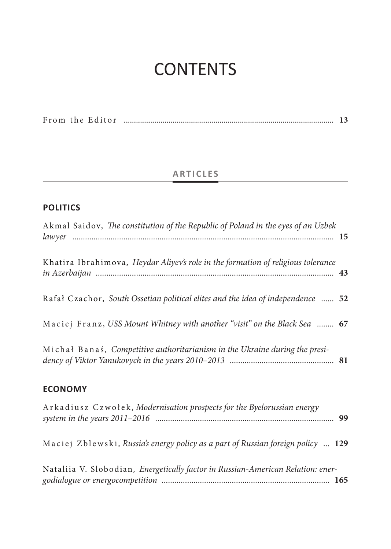# **CONTENTS**

|  |  | From the Editor |  |  |  |
|--|--|-----------------|--|--|--|
|--|--|-----------------|--|--|--|

# **ARTICLES**

## **POLITICS**

| Akmal Saidov, The constitution of the Republic of Poland in the eyes of an Uzbek |  |
|----------------------------------------------------------------------------------|--|
| Khatira Ibrahimova, Heydar Aliyev's role in the formation of religious tolerance |  |
| Rafał Czachor, South Ossetian political elites and the idea of independence  52  |  |
| Maciej Franz, USS Mount Whitney with another "visit" on the Black Sea  67        |  |
| Michał Banaś, Competitive authoritarianism in the Ukraine during the presi-      |  |
| <b>ECONOMY</b>                                                                   |  |
| Arkadiusz Czwołek, Modernisation prospects for the Byelorussian energy           |  |
| Maciej Zblewski, Russia's energy policy as a part of Russian foreign policy  129 |  |
| Nataliia V. Slobodian, Energetically factor in Russian-American Relation: ener-  |  |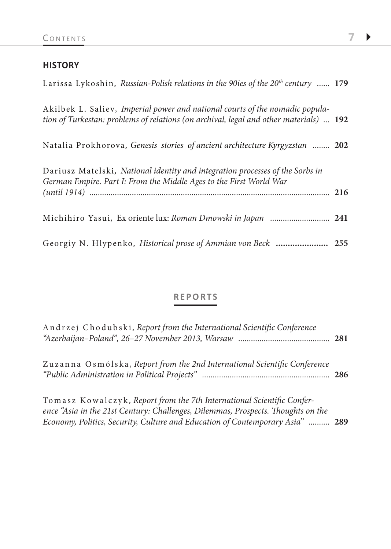#### **HISTORY**

| Larissa Lykoshin, Russian-Polish relations in the 90ies of the $20^{th}$ century  179                                                                                  |  |
|------------------------------------------------------------------------------------------------------------------------------------------------------------------------|--|
| Akilbek L. Saliev, Imperial power and national courts of the nomadic popula-<br>tion of Turkestan: problems of relations (on archival, legal and other materials)  192 |  |
| Natalia Prokhorova, Genesis stories of ancient architecture Kyrgyzstan  202                                                                                            |  |
| Dariusz Matelski, National identity and integration processes of the Sorbs in<br>German Empire. Part I: From the Middle Ages to the First World War                    |  |
| Michihiro Yasui, Ex oriente lux: Roman Dmowski in Japan  241                                                                                                           |  |
|                                                                                                                                                                        |  |

#### **REPORTS**

| Andrzej Chodubski, Report from the International Scientific Conference    |     |
|---------------------------------------------------------------------------|-----|
| Zuzanna Osmólska, Report from the 2nd International Scientific Conference | 286 |

Tomasz Kowalczyk *, Report from the 7th International Scientific Conference "Asia in the 21st Century: Challenges, Dilemmas, Prospects. Thoughts on the Economy, Politics, Security, Culture and Education of Contemporary Asia" ..........* **289**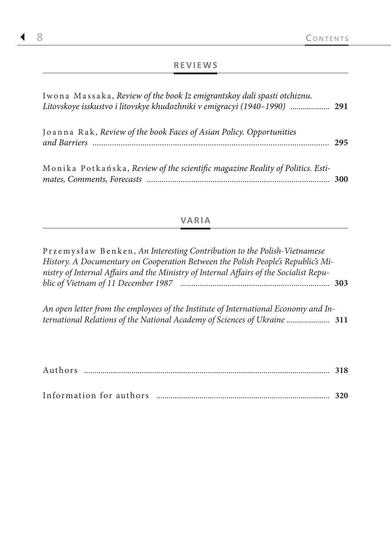## **REVIEWS**

| Iwona Massaka, Review of the book Iz emigrantskoy dali spasti otchiznu.<br>Litovskoye isskustvo i litovskye khudozhniki v emigracyi (1940–1990)  291 |            |
|------------------------------------------------------------------------------------------------------------------------------------------------------|------------|
| Joanna Rak, Review of the book Faces of Asian Policy. Opportunities                                                                                  | 295        |
| Monika Potkańska, Review of the scientific magazine Reality of Politics. Esti-                                                                       | <b>300</b> |

### **VARIA**

| Przemysław Benken, An Interesting Contribution to the Polish-Vietnamese                |  |
|----------------------------------------------------------------------------------------|--|
| History. A Documentary on Cooperation Between the Polish People's Republic's Mi-       |  |
| nistry of Internal Affairs and the Ministry of Internal Affairs of the Socialist Repu- |  |
|                                                                                        |  |
|                                                                                        |  |
| An open letter from the employees of the Institute of International Economy and In-    |  |
| ternational Relations of the National Academy of Sciences of Ukraine  311              |  |

| Authors |  |
|---------|--|
|         |  |

| Information for authors |  |  |  |  |
|-------------------------|--|--|--|--|
|-------------------------|--|--|--|--|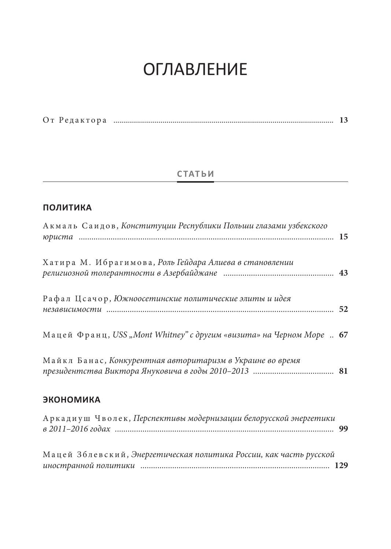# **ОГЛАВЛЕНИЕ**

|  | От Редактора |  |  |  |
|--|--------------|--|--|--|
|--|--------------|--|--|--|

# **СТАТЬИ**

## ПОЛИТИКА

| Акмаль Саидов, Конституции Республики Польши глазами узбекского      |  |
|----------------------------------------------------------------------|--|
| Хатира М. Ибрагимова, Роль Гейдара Алиева в становлении              |  |
| Рафал Цсачор, Южноосетинские политические элиты и идея               |  |
| Мацей Франц, USS "Mont Whitney" с другим «визита» на Черном Море  67 |  |
| Майкл Банас, Конкурентная авторитаризм в Украине во время            |  |
| <b>ЭКОНОМИКА</b>                                                     |  |
| Аркадиуш Чволек, Перспективы модернизации белорусской энергетики     |  |
| Мацей Зблевский, Энергетическая политика России, как часть русской   |  |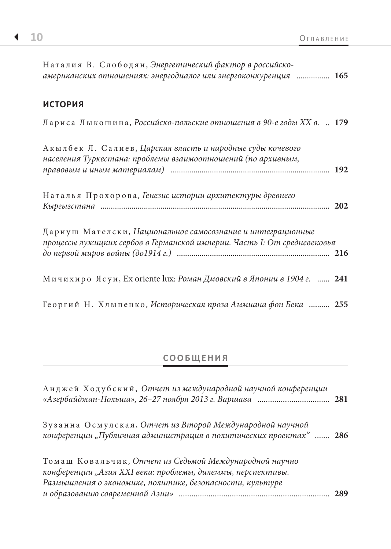| Наталия В. Слободян, Энергетический фактор в российско-<br>американских отношениях: энергодиалог или энергоконкуренция  165             |  |
|-----------------------------------------------------------------------------------------------------------------------------------------|--|
| <b>ИСТОРИЯ</b>                                                                                                                          |  |
| Лариса Лыкошина, Российско-польские отношения в 90-е годы XX в.  179                                                                    |  |
| Акылбек Л. Салиев, Царская власть и народные суды кочевого<br>населения Туркестана: проблемы взаимоотношений (по архивным,              |  |
| Наталья Прохорова, Генезис истории архитектуры древнего                                                                                 |  |
| Дариуш Мателски, Национальное самосознание и интеграционные<br>процессы лужицких сербов в Германской империи. Часть І: От средневековья |  |
| Мичихиро Ясуи, Ex oriente lux: Роман Дмовский в Японии в 1904 г.  241                                                                   |  |
| Георгий Н. Хлыпенко, Историческая проза Аммиана фон Бека  255                                                                           |  |

## **СООБЩЕНИЯ**

| Анджей Ходубский, Отчет из международной научной конференции                                                                                                                       |     |
|------------------------------------------------------------------------------------------------------------------------------------------------------------------------------------|-----|
| Зузанна Осмулская, Отчет из Второй Международной научной<br>конференции "Публичная администрация в политических проектах"  286                                                     |     |
| Томаш Ковальчик, Отчет из Седьмой Международной научно<br>конференции "Азия XXI века: проблемы, дилеммы, перспективы.<br>Размышления о экономике, политике, безопасности, культуре | 289 |